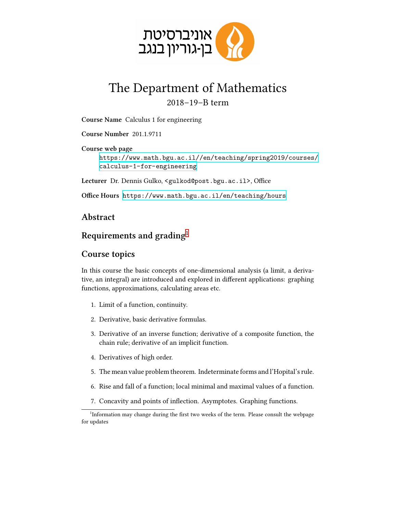

## The Department of Mathematics 2018–19–B term

**Course Name** Calculus 1 for engineering

**Course Number** 201.1.9711

**Course web page** [https://www.math.bgu.ac.il//en/teaching/spring2019/courses/](https://www.math.bgu.ac.il//en/teaching/spring2019/courses/calculus-1-for-engineering) [calculus-1-for-engineering](https://www.math.bgu.ac.il//en/teaching/spring2019/courses/calculus-1-for-engineering)

**Lecturer** Dr. Dennis Gulko, <gulkod@post.bgu.ac.il>, Office

**Office Hours** <https://www.math.bgu.ac.il/en/teaching/hours>

## **Abstract**

## **Requirements and grading**[1](#page-0-0)

## **Course topics**

In this course the basic concepts of one-dimensional analysis (a limit, a derivative, an integral) are introduced and explored in different applications: graphing functions, approximations, calculating areas etc.

- 1. Limit of a function, continuity.
- 2. Derivative, basic derivative formulas.
- 3. Derivative of an inverse function; derivative of a composite function, the chain rule; derivative of an implicit function.
- 4. Derivatives of high order.
- 5. The mean value problem theorem. Indeterminate forms and l'Hopital's rule.
- 6. Rise and fall of a function; local minimal and maximal values of a function.
- 7. Concavity and points of inflection. Asymptotes. Graphing functions.

<span id="page-0-0"></span><sup>&</sup>lt;sup>1</sup>Information may change during the first two weeks of the term. Please consult the webpage for updates